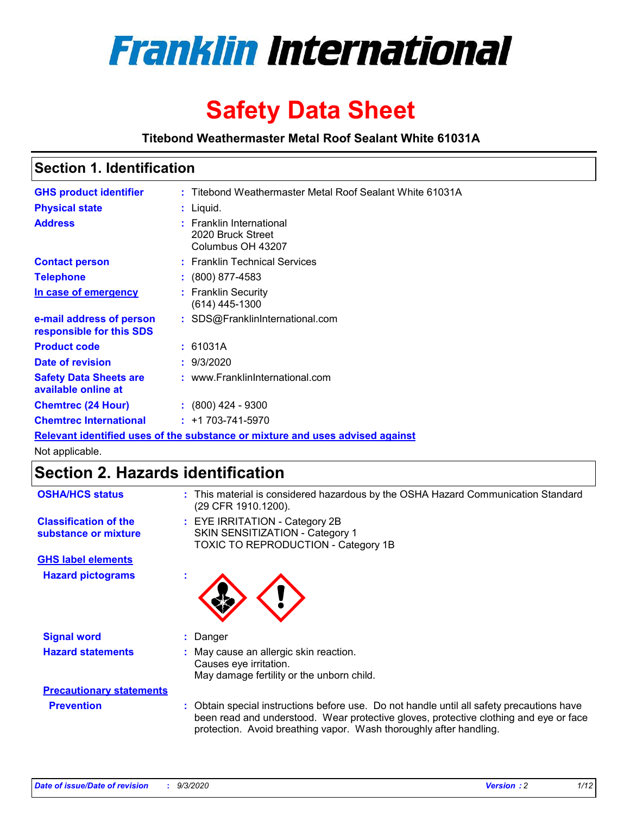

# **Safety Data Sheet**

**Titebond Weathermaster Metal Roof Sealant White 61031A**

### **Section 1. Identification**

| <b>GHS product identifier</b>                                                 |  | : Titebond Weathermaster Metal Roof Sealant White 61031A           |  |
|-------------------------------------------------------------------------------|--|--------------------------------------------------------------------|--|
| <b>Physical state</b>                                                         |  | : Liquid.                                                          |  |
| <b>Address</b>                                                                |  | : Franklin International<br>2020 Bruck Street<br>Columbus OH 43207 |  |
| <b>Contact person</b>                                                         |  | : Franklin Technical Services                                      |  |
| <b>Telephone</b>                                                              |  | $: (800) 877 - 4583$                                               |  |
| In case of emergency                                                          |  | : Franklin Security<br>(614) 445-1300                              |  |
| e-mail address of person<br>responsible for this SDS                          |  | : SDS@FranklinInternational.com                                    |  |
| <b>Product code</b>                                                           |  | : 61031A                                                           |  |
| Date of revision                                                              |  | : 9/3/2020                                                         |  |
| <b>Safety Data Sheets are</b><br>available online at                          |  | : www.FranklinInternational.com                                    |  |
| <b>Chemtrec (24 Hour)</b>                                                     |  | $\div$ (800) 424 - 9300                                            |  |
| <b>Chemtrec International</b>                                                 |  | $: +1703 - 741 - 5970$                                             |  |
| Relevant identified uses of the substance or mixture and uses advised against |  |                                                                    |  |

Not applicable.

### **Section 2. Hazards identification**

| <b>OSHA/HCS status</b>                               | : This material is considered hazardous by the OSHA Hazard Communication Standard<br>(29 CFR 1910.1200).                                                                                                                                                 |  |  |
|------------------------------------------------------|----------------------------------------------------------------------------------------------------------------------------------------------------------------------------------------------------------------------------------------------------------|--|--|
| <b>Classification of the</b><br>substance or mixture | : EYE IRRITATION - Category 2B<br>SKIN SENSITIZATION - Category 1<br>TOXIC TO REPRODUCTION - Category 1B                                                                                                                                                 |  |  |
| <b>GHS label elements</b>                            |                                                                                                                                                                                                                                                          |  |  |
| <b>Hazard pictograms</b>                             |                                                                                                                                                                                                                                                          |  |  |
| <b>Signal word</b>                                   | : Danger                                                                                                                                                                                                                                                 |  |  |
| <b>Hazard statements</b>                             | : May cause an allergic skin reaction.<br>Causes eye irritation.<br>May damage fertility or the unborn child.                                                                                                                                            |  |  |
| <b>Precautionary statements</b>                      |                                                                                                                                                                                                                                                          |  |  |
| <b>Prevention</b>                                    | : Obtain special instructions before use. Do not handle until all safety precautions have<br>been read and understood. Wear protective gloves, protective clothing and eye or face<br>protection. Avoid breathing vapor. Wash thoroughly after handling. |  |  |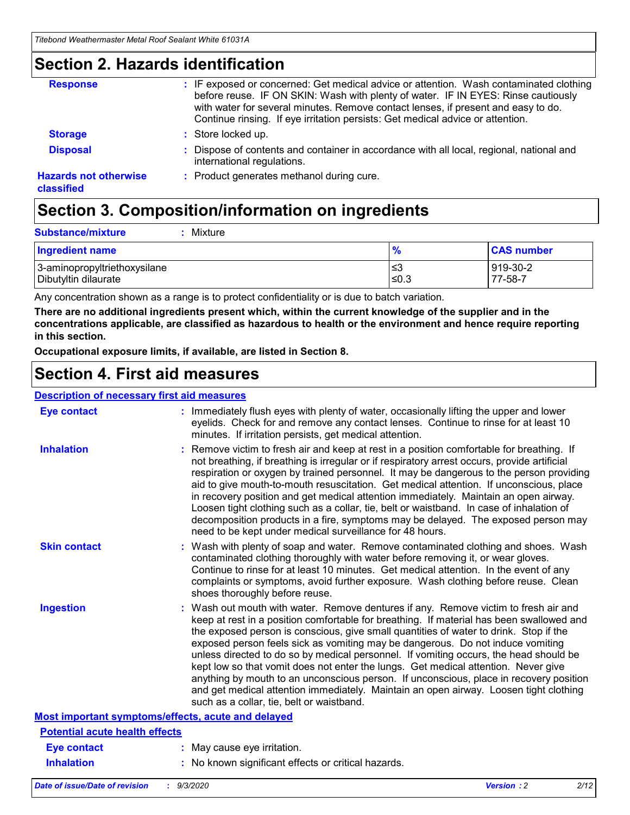### **Section 2. Hazards identification**

| <b>Response</b>                            | : IF exposed or concerned: Get medical advice or attention. Wash contaminated clothing<br>before reuse. IF ON SKIN: Wash with plenty of water. IF IN EYES: Rinse cautiously<br>with water for several minutes. Remove contact lenses, if present and easy to do.<br>Continue rinsing. If eye irritation persists: Get medical advice or attention. |
|--------------------------------------------|----------------------------------------------------------------------------------------------------------------------------------------------------------------------------------------------------------------------------------------------------------------------------------------------------------------------------------------------------|
| <b>Storage</b>                             | : Store locked up.                                                                                                                                                                                                                                                                                                                                 |
| <b>Disposal</b>                            | : Dispose of contents and container in accordance with all local, regional, national and<br>international regulations.                                                                                                                                                                                                                             |
| <b>Hazards not otherwise</b><br>classified | : Product generates methanol during cure.                                                                                                                                                                                                                                                                                                          |

# **Section 3. Composition/information on ingredients**

| <b>Substance/mixture</b> | : Mixture |
|--------------------------|-----------|
|                          |           |

| <b>Ingredient name</b>       | $\mathbf{0}$<br>70 | <b>CAS number</b> |
|------------------------------|--------------------|-------------------|
| 3-aminopropyltriethoxysilane | צ≥                 | 919-30-2          |
| Dibutyltin dilaurate         | ∣≤0.3              | 77-58-7           |

Any concentration shown as a range is to protect confidentiality or is due to batch variation.

**There are no additional ingredients present which, within the current knowledge of the supplier and in the concentrations applicable, are classified as hazardous to health or the environment and hence require reporting in this section.**

**Occupational exposure limits, if available, are listed in Section 8.**

### **Section 4. First aid measures**

| <b>Description of necessary first aid measures</b> |                                                                                                                                                                                                                                                                                                                                                                                                                                                                                                                                                                                                                                                                                                                                                                           |
|----------------------------------------------------|---------------------------------------------------------------------------------------------------------------------------------------------------------------------------------------------------------------------------------------------------------------------------------------------------------------------------------------------------------------------------------------------------------------------------------------------------------------------------------------------------------------------------------------------------------------------------------------------------------------------------------------------------------------------------------------------------------------------------------------------------------------------------|
| <b>Eye contact</b>                                 | : Immediately flush eyes with plenty of water, occasionally lifting the upper and lower<br>eyelids. Check for and remove any contact lenses. Continue to rinse for at least 10<br>minutes. If irritation persists, get medical attention.                                                                                                                                                                                                                                                                                                                                                                                                                                                                                                                                 |
| <b>Inhalation</b>                                  | : Remove victim to fresh air and keep at rest in a position comfortable for breathing. If<br>not breathing, if breathing is irregular or if respiratory arrest occurs, provide artificial<br>respiration or oxygen by trained personnel. It may be dangerous to the person providing<br>aid to give mouth-to-mouth resuscitation. Get medical attention. If unconscious, place<br>in recovery position and get medical attention immediately. Maintain an open airway.<br>Loosen tight clothing such as a collar, tie, belt or waistband. In case of inhalation of<br>decomposition products in a fire, symptoms may be delayed. The exposed person may<br>need to be kept under medical surveillance for 48 hours.                                                       |
| <b>Skin contact</b>                                | : Wash with plenty of soap and water. Remove contaminated clothing and shoes. Wash<br>contaminated clothing thoroughly with water before removing it, or wear gloves.<br>Continue to rinse for at least 10 minutes. Get medical attention. In the event of any<br>complaints or symptoms, avoid further exposure. Wash clothing before reuse. Clean<br>shoes thoroughly before reuse.                                                                                                                                                                                                                                                                                                                                                                                     |
| <b>Ingestion</b>                                   | : Wash out mouth with water. Remove dentures if any. Remove victim to fresh air and<br>keep at rest in a position comfortable for breathing. If material has been swallowed and<br>the exposed person is conscious, give small quantities of water to drink. Stop if the<br>exposed person feels sick as vomiting may be dangerous. Do not induce vomiting<br>unless directed to do so by medical personnel. If vomiting occurs, the head should be<br>kept low so that vomit does not enter the lungs. Get medical attention. Never give<br>anything by mouth to an unconscious person. If unconscious, place in recovery position<br>and get medical attention immediately. Maintain an open airway. Loosen tight clothing<br>such as a collar, tie, belt or waistband. |
| Most important symptoms/effects, acute and delayed |                                                                                                                                                                                                                                                                                                                                                                                                                                                                                                                                                                                                                                                                                                                                                                           |
| <b>Potential acute health effects</b>              |                                                                                                                                                                                                                                                                                                                                                                                                                                                                                                                                                                                                                                                                                                                                                                           |
| <b>Eye contact</b>                                 | : May cause eye irritation.                                                                                                                                                                                                                                                                                                                                                                                                                                                                                                                                                                                                                                                                                                                                               |
| <b>Inhalation</b>                                  | : No known significant effects or critical hazards.                                                                                                                                                                                                                                                                                                                                                                                                                                                                                                                                                                                                                                                                                                                       |
|                                                    |                                                                                                                                                                                                                                                                                                                                                                                                                                                                                                                                                                                                                                                                                                                                                                           |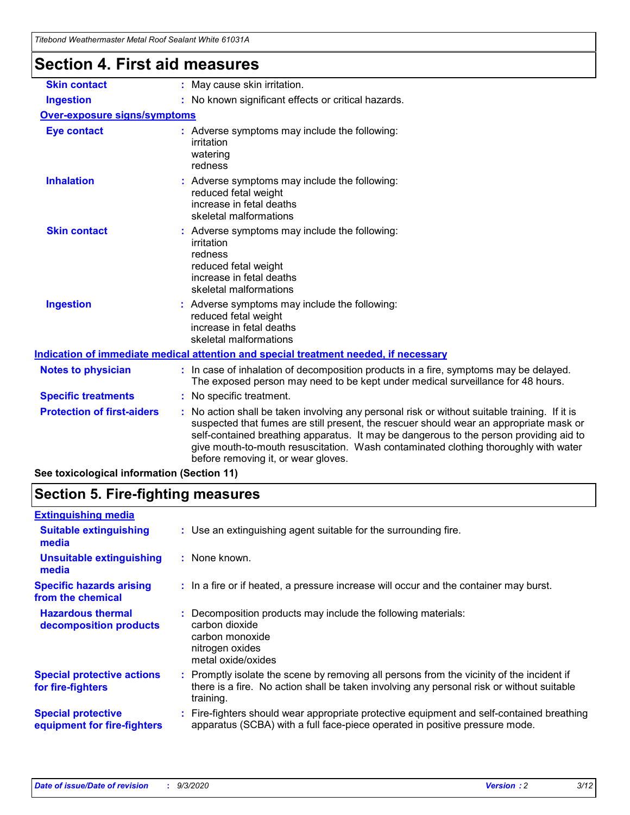| i ilgioinu vvdalilgiinaslei Melai Rooi Sealahl Willie OTOSTA |                                                                                                                                                                                                                                                                                                                                                                                                                 |  |  |
|--------------------------------------------------------------|-----------------------------------------------------------------------------------------------------------------------------------------------------------------------------------------------------------------------------------------------------------------------------------------------------------------------------------------------------------------------------------------------------------------|--|--|
| <b>Section 4. First aid measures</b>                         |                                                                                                                                                                                                                                                                                                                                                                                                                 |  |  |
| <b>Skin contact</b>                                          | : May cause skin irritation.                                                                                                                                                                                                                                                                                                                                                                                    |  |  |
| <b>Ingestion</b>                                             | : No known significant effects or critical hazards.                                                                                                                                                                                                                                                                                                                                                             |  |  |
| Over-exposure signs/symptoms                                 |                                                                                                                                                                                                                                                                                                                                                                                                                 |  |  |
| <b>Eye contact</b>                                           | : Adverse symptoms may include the following:<br>irritation<br>watering<br>redness                                                                                                                                                                                                                                                                                                                              |  |  |
| <b>Inhalation</b>                                            | : Adverse symptoms may include the following:<br>reduced fetal weight<br>increase in fetal deaths<br>skeletal malformations                                                                                                                                                                                                                                                                                     |  |  |
| <b>Skin contact</b>                                          | : Adverse symptoms may include the following:<br>irritation<br>redness<br>reduced fetal weight<br>increase in fetal deaths<br>skeletal malformations                                                                                                                                                                                                                                                            |  |  |
| <b>Ingestion</b>                                             | : Adverse symptoms may include the following:<br>reduced fetal weight<br>increase in fetal deaths<br>skeletal malformations                                                                                                                                                                                                                                                                                     |  |  |
|                                                              | Indication of immediate medical attention and special treatment needed, if necessary                                                                                                                                                                                                                                                                                                                            |  |  |
| <b>Notes to physician</b>                                    | : In case of inhalation of decomposition products in a fire, symptoms may be delayed.<br>The exposed person may need to be kept under medical surveillance for 48 hours.                                                                                                                                                                                                                                        |  |  |
| <b>Specific treatments</b>                                   | : No specific treatment.                                                                                                                                                                                                                                                                                                                                                                                        |  |  |
| <b>Protection of first-aiders</b>                            | : No action shall be taken involving any personal risk or without suitable training. If it is<br>suspected that fumes are still present, the rescuer should wear an appropriate mask or<br>self-contained breathing apparatus. It may be dangerous to the person providing aid to<br>give mouth-to-mouth resuscitation. Wash contaminated clothing thoroughly with water<br>before removing it, or wear gloves. |  |  |
| See toxicological information (Section 11)                   |                                                                                                                                                                                                                                                                                                                                                                                                                 |  |  |

# **Section 5. Fire-fighting measures**

| : Use an extinguishing agent suitable for the surrounding fire.                                                                                                                                   |
|---------------------------------------------------------------------------------------------------------------------------------------------------------------------------------------------------|
| : None known.                                                                                                                                                                                     |
| : In a fire or if heated, a pressure increase will occur and the container may burst.                                                                                                             |
| Decomposition products may include the following materials:<br>carbon dioxide<br>carbon monoxide<br>nitrogen oxides<br>metal oxide/oxides                                                         |
| Promptly isolate the scene by removing all persons from the vicinity of the incident if<br>there is a fire. No action shall be taken involving any personal risk or without suitable<br>training. |
| : Fire-fighters should wear appropriate protective equipment and self-contained breathing<br>apparatus (SCBA) with a full face-piece operated in positive pressure mode.                          |
|                                                                                                                                                                                                   |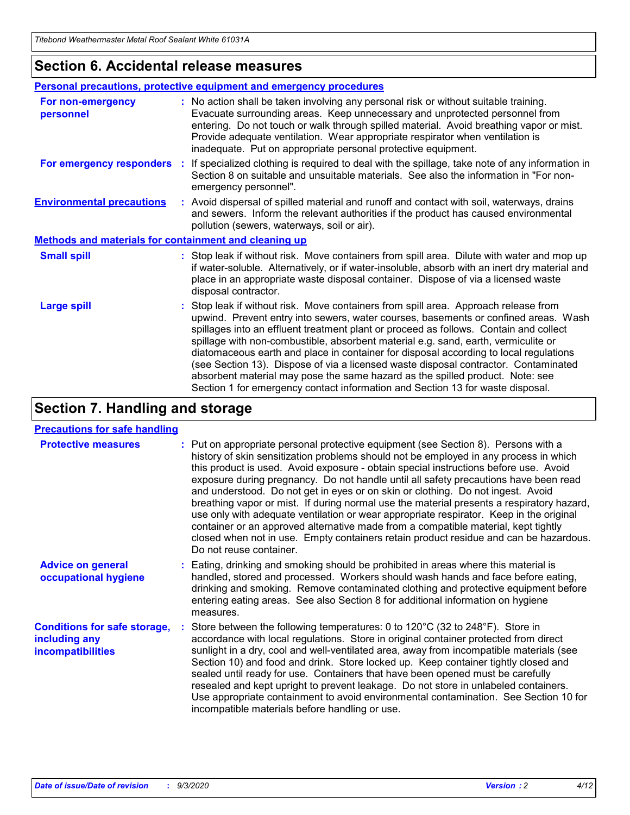### **Section 6. Accidental release measures**

|                                                              | <b>Personal precautions, protective equipment and emergency procedures</b>                                                                                                                                                                                                                                                                                                                                                                                                                                                                                                                                                                                                                                   |  |  |  |
|--------------------------------------------------------------|--------------------------------------------------------------------------------------------------------------------------------------------------------------------------------------------------------------------------------------------------------------------------------------------------------------------------------------------------------------------------------------------------------------------------------------------------------------------------------------------------------------------------------------------------------------------------------------------------------------------------------------------------------------------------------------------------------------|--|--|--|
| For non-emergency<br>personnel                               | : No action shall be taken involving any personal risk or without suitable training.<br>Evacuate surrounding areas. Keep unnecessary and unprotected personnel from<br>entering. Do not touch or walk through spilled material. Avoid breathing vapor or mist.<br>Provide adequate ventilation. Wear appropriate respirator when ventilation is<br>inadequate. Put on appropriate personal protective equipment.                                                                                                                                                                                                                                                                                             |  |  |  |
| For emergency responders                                     | : If specialized clothing is required to deal with the spillage, take note of any information in<br>Section 8 on suitable and unsuitable materials. See also the information in "For non-<br>emergency personnel".                                                                                                                                                                                                                                                                                                                                                                                                                                                                                           |  |  |  |
| <b>Environmental precautions</b>                             | : Avoid dispersal of spilled material and runoff and contact with soil, waterways, drains<br>and sewers. Inform the relevant authorities if the product has caused environmental<br>pollution (sewers, waterways, soil or air).                                                                                                                                                                                                                                                                                                                                                                                                                                                                              |  |  |  |
| <b>Methods and materials for containment and cleaning up</b> |                                                                                                                                                                                                                                                                                                                                                                                                                                                                                                                                                                                                                                                                                                              |  |  |  |
| <b>Small spill</b>                                           | : Stop leak if without risk. Move containers from spill area. Dilute with water and mop up<br>if water-soluble. Alternatively, or if water-insoluble, absorb with an inert dry material and<br>place in an appropriate waste disposal container. Dispose of via a licensed waste<br>disposal contractor.                                                                                                                                                                                                                                                                                                                                                                                                     |  |  |  |
| <b>Large spill</b>                                           | : Stop leak if without risk. Move containers from spill area. Approach release from<br>upwind. Prevent entry into sewers, water courses, basements or confined areas. Wash<br>spillages into an effluent treatment plant or proceed as follows. Contain and collect<br>spillage with non-combustible, absorbent material e.g. sand, earth, vermiculite or<br>diatomaceous earth and place in container for disposal according to local regulations<br>(see Section 13). Dispose of via a licensed waste disposal contractor. Contaminated<br>absorbent material may pose the same hazard as the spilled product. Note: see<br>Section 1 for emergency contact information and Section 13 for waste disposal. |  |  |  |

### **Section 7. Handling and storage**

#### **Precautions for safe handling**

| <b>Protective measures</b>                                                       | : Put on appropriate personal protective equipment (see Section 8). Persons with a<br>history of skin sensitization problems should not be employed in any process in which<br>this product is used. Avoid exposure - obtain special instructions before use. Avoid<br>exposure during pregnancy. Do not handle until all safety precautions have been read<br>and understood. Do not get in eyes or on skin or clothing. Do not ingest. Avoid<br>breathing vapor or mist. If during normal use the material presents a respiratory hazard,<br>use only with adequate ventilation or wear appropriate respirator. Keep in the original<br>container or an approved alternative made from a compatible material, kept tightly<br>closed when not in use. Empty containers retain product residue and can be hazardous.<br>Do not reuse container. |
|----------------------------------------------------------------------------------|--------------------------------------------------------------------------------------------------------------------------------------------------------------------------------------------------------------------------------------------------------------------------------------------------------------------------------------------------------------------------------------------------------------------------------------------------------------------------------------------------------------------------------------------------------------------------------------------------------------------------------------------------------------------------------------------------------------------------------------------------------------------------------------------------------------------------------------------------|
| <b>Advice on general</b><br>occupational hygiene                                 | : Eating, drinking and smoking should be prohibited in areas where this material is<br>handled, stored and processed. Workers should wash hands and face before eating,<br>drinking and smoking. Remove contaminated clothing and protective equipment before<br>entering eating areas. See also Section 8 for additional information on hygiene<br>measures.                                                                                                                                                                                                                                                                                                                                                                                                                                                                                    |
| <b>Conditions for safe storage,</b><br>including any<br><i>incompatibilities</i> | Store between the following temperatures: 0 to 120°C (32 to 248°F). Store in<br>accordance with local regulations. Store in original container protected from direct<br>sunlight in a dry, cool and well-ventilated area, away from incompatible materials (see<br>Section 10) and food and drink. Store locked up. Keep container tightly closed and<br>sealed until ready for use. Containers that have been opened must be carefully<br>resealed and kept upright to prevent leakage. Do not store in unlabeled containers.<br>Use appropriate containment to avoid environmental contamination. See Section 10 for<br>incompatible materials before handling or use.                                                                                                                                                                         |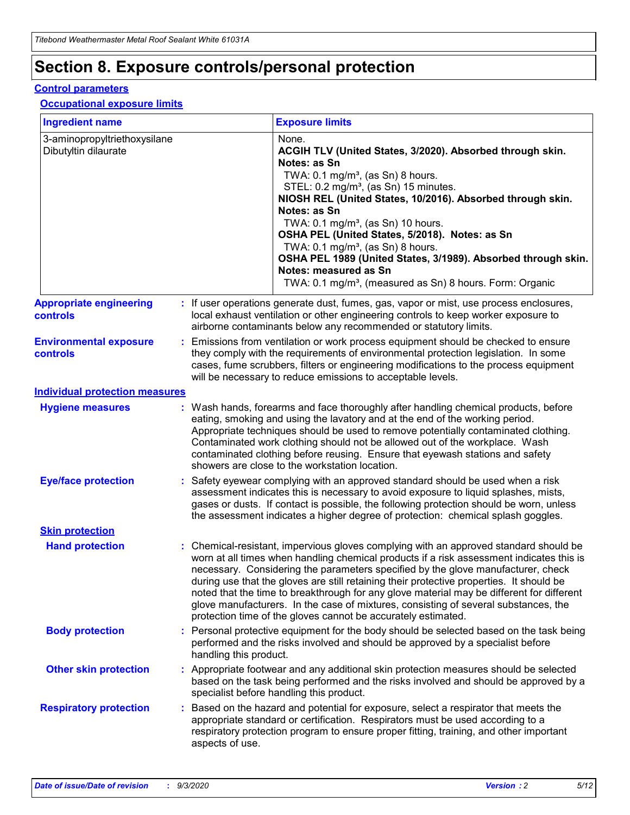# **Section 8. Exposure controls/personal protection**

#### **Control parameters**

#### **Occupational exposure limits**

| <b>Ingredient name</b>                               |    |                        | <b>Exposure limits</b>                                                                                                                                                                                                                                                                                                                                                                                                                                                                                                                                                                                                 |
|------------------------------------------------------|----|------------------------|------------------------------------------------------------------------------------------------------------------------------------------------------------------------------------------------------------------------------------------------------------------------------------------------------------------------------------------------------------------------------------------------------------------------------------------------------------------------------------------------------------------------------------------------------------------------------------------------------------------------|
| 3-aminopropyltriethoxysilane<br>Dibutyltin dilaurate |    |                        | None.<br>ACGIH TLV (United States, 3/2020). Absorbed through skin.<br>Notes: as Sn<br>TWA: $0.1 \text{ mg/m}^3$ , (as Sn) 8 hours.<br>STEL: 0.2 mg/m <sup>3</sup> , (as Sn) 15 minutes.<br>NIOSH REL (United States, 10/2016). Absorbed through skin.<br>Notes: as Sn<br>TWA: 0.1 mg/m <sup>3</sup> , (as Sn) 10 hours.<br>OSHA PEL (United States, 5/2018). Notes: as Sn<br>TWA: 0.1 mg/m <sup>3</sup> , (as Sn) 8 hours.<br>OSHA PEL 1989 (United States, 3/1989). Absorbed through skin.<br>Notes: measured as Sn<br>TWA: 0.1 mg/m <sup>3</sup> , (measured as Sn) 8 hours. Form: Organic                           |
| <b>Appropriate engineering</b><br>controls           |    |                        | : If user operations generate dust, fumes, gas, vapor or mist, use process enclosures,<br>local exhaust ventilation or other engineering controls to keep worker exposure to<br>airborne contaminants below any recommended or statutory limits.                                                                                                                                                                                                                                                                                                                                                                       |
| <b>Environmental exposure</b><br>controls            |    |                        | Emissions from ventilation or work process equipment should be checked to ensure<br>they comply with the requirements of environmental protection legislation. In some<br>cases, fume scrubbers, filters or engineering modifications to the process equipment<br>will be necessary to reduce emissions to acceptable levels.                                                                                                                                                                                                                                                                                          |
| <b>Individual protection measures</b>                |    |                        |                                                                                                                                                                                                                                                                                                                                                                                                                                                                                                                                                                                                                        |
| <b>Hygiene measures</b>                              |    |                        | : Wash hands, forearms and face thoroughly after handling chemical products, before<br>eating, smoking and using the lavatory and at the end of the working period.<br>Appropriate techniques should be used to remove potentially contaminated clothing.<br>Contaminated work clothing should not be allowed out of the workplace. Wash<br>contaminated clothing before reusing. Ensure that eyewash stations and safety<br>showers are close to the workstation location.                                                                                                                                            |
| <b>Eye/face protection</b>                           |    |                        | Safety eyewear complying with an approved standard should be used when a risk<br>assessment indicates this is necessary to avoid exposure to liquid splashes, mists,<br>gases or dusts. If contact is possible, the following protection should be worn, unless<br>the assessment indicates a higher degree of protection: chemical splash goggles.                                                                                                                                                                                                                                                                    |
| <b>Skin protection</b>                               |    |                        |                                                                                                                                                                                                                                                                                                                                                                                                                                                                                                                                                                                                                        |
| <b>Hand protection</b>                               |    |                        | : Chemical-resistant, impervious gloves complying with an approved standard should be<br>worn at all times when handling chemical products if a risk assessment indicates this is<br>necessary. Considering the parameters specified by the glove manufacturer, check<br>during use that the gloves are still retaining their protective properties. It should be<br>noted that the time to breakthrough for any glove material may be different for different<br>glove manufacturers. In the case of mixtures, consisting of several substances, the<br>protection time of the gloves cannot be accurately estimated. |
| <b>Body protection</b>                               |    | handling this product. | Personal protective equipment for the body should be selected based on the task being<br>performed and the risks involved and should be approved by a specialist before                                                                                                                                                                                                                                                                                                                                                                                                                                                |
| <b>Other skin protection</b>                         |    |                        | : Appropriate footwear and any additional skin protection measures should be selected<br>based on the task being performed and the risks involved and should be approved by a<br>specialist before handling this product.                                                                                                                                                                                                                                                                                                                                                                                              |
| <b>Respiratory protection</b>                        | ÷. | aspects of use.        | Based on the hazard and potential for exposure, select a respirator that meets the<br>appropriate standard or certification. Respirators must be used according to a<br>respiratory protection program to ensure proper fitting, training, and other important                                                                                                                                                                                                                                                                                                                                                         |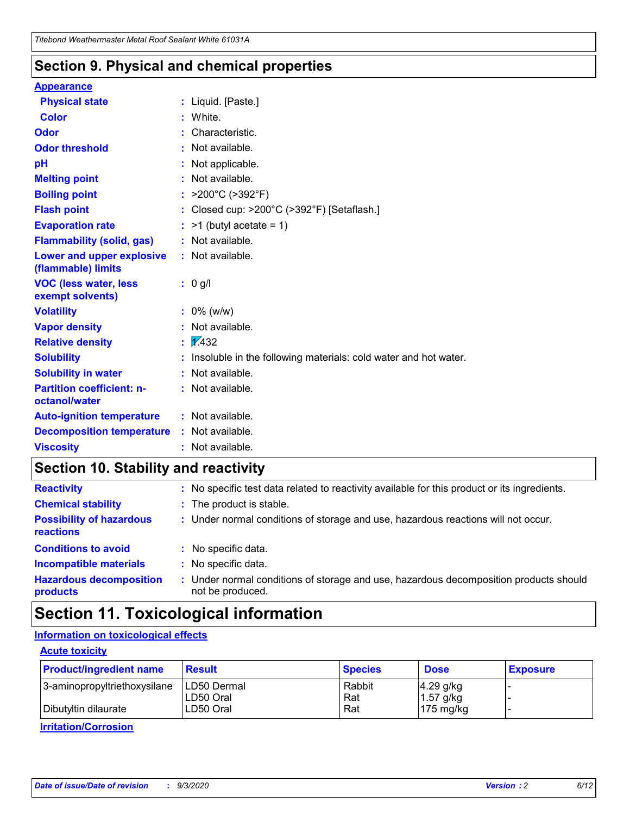### **Section 9. Physical and chemical properties**

#### **Appearance**

| <b>Physical state</b>                                  | : Liquid. [Paste.]                                              |
|--------------------------------------------------------|-----------------------------------------------------------------|
| Color                                                  | White.                                                          |
| Odor                                                   | Characteristic.                                                 |
| <b>Odor threshold</b>                                  | Not available.                                                  |
| pH                                                     | Not applicable.                                                 |
| <b>Melting point</b>                                   | Not available.                                                  |
| <b>Boiling point</b>                                   | : $>200^{\circ}$ C ( $>392^{\circ}$ F)                          |
| <b>Flash point</b>                                     | Closed cup: >200°C (>392°F) [Setaflash.]                        |
| <b>Evaporation rate</b>                                | $:$ >1 (butyl acetate = 1)                                      |
| <b>Flammability (solid, gas)</b>                       | : Not available.                                                |
| <b>Lower and upper explosive</b><br>(flammable) limits | : Not available.                                                |
| <b>VOC (less water, less)</b><br>exempt solvents)      | $: 0$ g/l                                                       |
| <b>Volatility</b>                                      | $: 0\%$ (w/w)                                                   |
| <b>Vapor density</b>                                   | Not available.                                                  |
| <b>Relative density</b>                                | $\frac{1}{2}$ 2.432                                             |
| <b>Solubility</b>                                      | Insoluble in the following materials: cold water and hot water. |
| <b>Solubility in water</b>                             | Not available.                                                  |
| <b>Partition coefficient: n-</b><br>octanol/water      | : Not available.                                                |
| <b>Auto-ignition temperature</b>                       | : Not available.                                                |
| <b>Decomposition temperature</b>                       | : Not available.                                                |
| <b>Viscosity</b>                                       | : Not available.                                                |

### **Section 10. Stability and reactivity**

| <b>Reactivity</b>                            |    | : No specific test data related to reactivity available for this product or its ingredients.            |
|----------------------------------------------|----|---------------------------------------------------------------------------------------------------------|
| <b>Chemical stability</b>                    |    | : The product is stable.                                                                                |
| <b>Possibility of hazardous</b><br>reactions |    | : Under normal conditions of storage and use, hazardous reactions will not occur.                       |
| <b>Conditions to avoid</b>                   |    | : No specific data.                                                                                     |
| <b>Incompatible materials</b>                | ٠. | No specific data.                                                                                       |
| <b>Hazardous decomposition</b><br>products   | ÷. | Under normal conditions of storage and use, hazardous decomposition products should<br>not be produced. |

### **Section 11. Toxicological information**

#### **Information on toxicological effects**

#### **Acute toxicity**

| <b>Product/ingredient name</b> | <b>Result</b>           | <b>Species</b> | <b>Dose</b>                | <b>Exposure</b> |
|--------------------------------|-------------------------|----------------|----------------------------|-----------------|
| 3-aminopropyltriethoxysilane   | <b>ILD50 Dermal</b>     | Rabbit         | 4.29 g/kg                  |                 |
| Dibutyltin dilaurate           | ILD50 Oral<br>LD50 Oral | Rat<br>Rat     | $1.57$ g/kg<br>175 $mg/kg$ |                 |
|                                |                         |                |                            |                 |

**Irritation/Corrosion**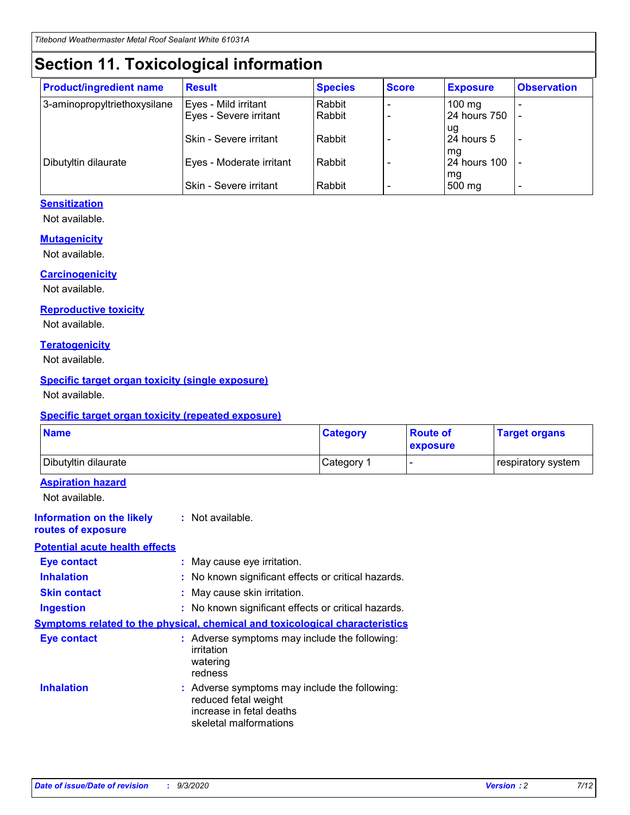# **Section 11. Toxicological information**

| <b>Product/ingredient name</b> | <b>Result</b>            | <b>Species</b> | <b>Score</b> | <b>Exposure</b>     | <b>Observation</b> |
|--------------------------------|--------------------------|----------------|--------------|---------------------|--------------------|
| 3-aminopropyltriethoxysilane   | Eyes - Mild irritant     | Rabbit         |              | $100 \text{ mg}$    |                    |
|                                | Eyes - Severe irritant   | Rabbit         |              | 24 hours 750        |                    |
|                                |                          |                |              | ug                  |                    |
|                                | Skin - Severe irritant   | Rabbit         |              | 24 hours 5          | ۰                  |
|                                |                          |                |              | mq                  |                    |
| Dibutyltin dilaurate           | Eyes - Moderate irritant | Rabbit         |              | <b>24 hours 100</b> |                    |
|                                | Skin - Severe irritant   | Rabbit         |              | mg<br>500 mg        |                    |

#### **Sensitization**

Not available.

#### **Mutagenicity**

Not available.

#### **Carcinogenicity**

Not available.

#### **Reproductive toxicity**

Not available.

#### **Teratogenicity**

Not available.

#### **Specific target organ toxicity (single exposure)**

Not available.

#### **Specific target organ toxicity (repeated exposure)**

| <b>Name</b>                                                                  |                                                                            | <b>Category</b>                                     | <b>Route of</b><br>exposure | <b>Target organs</b> |  |  |
|------------------------------------------------------------------------------|----------------------------------------------------------------------------|-----------------------------------------------------|-----------------------------|----------------------|--|--|
| Dibutyltin dilaurate                                                         |                                                                            | Category 1                                          |                             | respiratory system   |  |  |
| <b>Aspiration hazard</b><br>Not available.                                   |                                                                            |                                                     |                             |                      |  |  |
| <b>Information on the likely</b><br>routes of exposure                       | : Not available.                                                           |                                                     |                             |                      |  |  |
| <b>Potential acute health effects</b>                                        |                                                                            |                                                     |                             |                      |  |  |
| <b>Eye contact</b>                                                           | : May cause eye irritation.                                                |                                                     |                             |                      |  |  |
| <b>Inhalation</b>                                                            |                                                                            | : No known significant effects or critical hazards. |                             |                      |  |  |
| <b>Skin contact</b>                                                          |                                                                            | : May cause skin irritation.                        |                             |                      |  |  |
| <b>Ingestion</b>                                                             |                                                                            | : No known significant effects or critical hazards. |                             |                      |  |  |
| Symptoms related to the physical, chemical and toxicological characteristics |                                                                            |                                                     |                             |                      |  |  |
| <b>Eye contact</b>                                                           | irritation<br>watering<br>redness                                          | : Adverse symptoms may include the following:       |                             |                      |  |  |
| <b>Inhalation</b>                                                            | reduced fetal weight<br>increase in fetal deaths<br>skeletal malformations | : Adverse symptoms may include the following:       |                             |                      |  |  |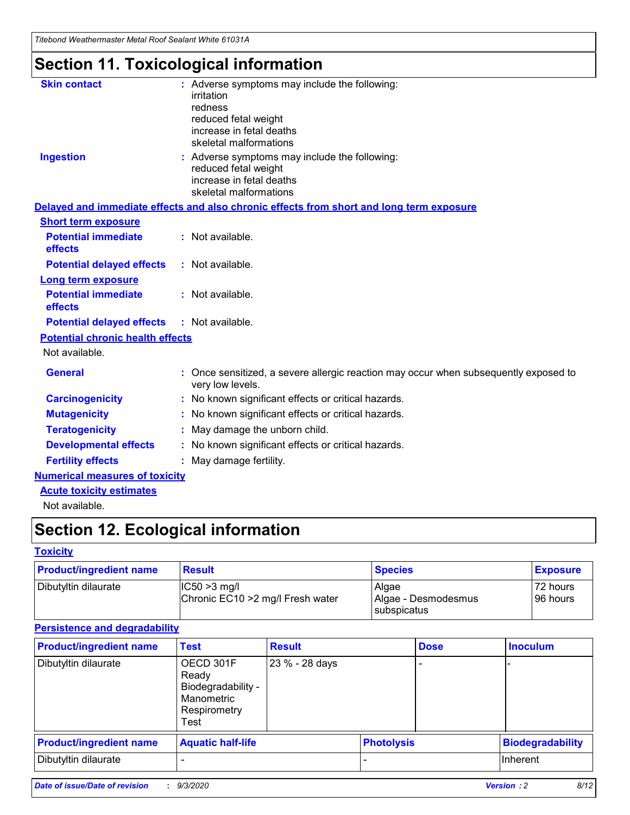*Titebond Weathermaster Metal Roof Sealant White 61031A*

# **Section 11. Toxicological information**

| <b>Skin contact</b>                     | : Adverse symptoms may include the following:<br>irritation                                            |
|-----------------------------------------|--------------------------------------------------------------------------------------------------------|
|                                         | redness                                                                                                |
|                                         | reduced fetal weight                                                                                   |
|                                         | increase in fetal deaths                                                                               |
|                                         | skeletal malformations                                                                                 |
| <b>Ingestion</b>                        | : Adverse symptoms may include the following:<br>reduced fetal weight                                  |
|                                         | increase in fetal deaths                                                                               |
|                                         | skeletal malformations                                                                                 |
|                                         | Delayed and immediate effects and also chronic effects from short and long term exposure               |
| <b>Short term exposure</b>              |                                                                                                        |
| <b>Potential immediate</b><br>effects   | : Not available.                                                                                       |
| <b>Potential delayed effects</b>        | : Not available.                                                                                       |
| <b>Long term exposure</b>               |                                                                                                        |
| <b>Potential immediate</b><br>effects   | : Not available.                                                                                       |
| <b>Potential delayed effects</b>        | : Not available.                                                                                       |
| <b>Potential chronic health effects</b> |                                                                                                        |
| Not available.                          |                                                                                                        |
| <b>General</b>                          | Once sensitized, a severe allergic reaction may occur when subsequently exposed to<br>very low levels. |
| <b>Carcinogenicity</b>                  | No known significant effects or critical hazards.                                                      |
| <b>Mutagenicity</b>                     | : No known significant effects or critical hazards.                                                    |
| <b>Teratogenicity</b>                   | May damage the unborn child.                                                                           |
| <b>Developmental effects</b>            | : No known significant effects or critical hazards.                                                    |
| <b>Fertility effects</b>                | : May damage fertility.                                                                                |
| <b>Numerical measures of toxicity</b>   |                                                                                                        |
| <b>Acute toxicity estimates</b>         |                                                                                                        |
| Not ovoilable                           |                                                                                                        |

Not available.

# **Section 12. Ecological information**

#### **Toxicity**

| <b>Product/ingredient name</b> | <b>Result</b>                                       | <b>Species</b>               | <b>Exposure</b>       |
|--------------------------------|-----------------------------------------------------|------------------------------|-----------------------|
| Dibutyltin dilaurate           | $ CC50>3$ mg/l<br>Chronic EC10 > 2 mg/l Fresh water | Algae<br>Algae - Desmodesmus | 72 hours<br>196 hours |
|                                |                                                     | <b>I</b> subspicatus         |                       |

#### **Persistence and degradability**

| <b>Product/ingredient name</b> | <b>Test</b>                                                                    | <b>Result</b>  |                   | <b>Dose</b> | <b>Inoculum</b>         |
|--------------------------------|--------------------------------------------------------------------------------|----------------|-------------------|-------------|-------------------------|
| Dibutyltin dilaurate           | OECD 301F<br>Ready<br>Biodegradability -<br>Manometric<br>Respirometry<br>Test | 23 % - 28 days |                   |             |                         |
| <b>Product/ingredient name</b> | <b>Aquatic half-life</b>                                                       |                | <b>Photolysis</b> |             | <b>Biodegradability</b> |
| Dibutyltin dilaurate           |                                                                                |                |                   |             | <b>Inherent</b>         |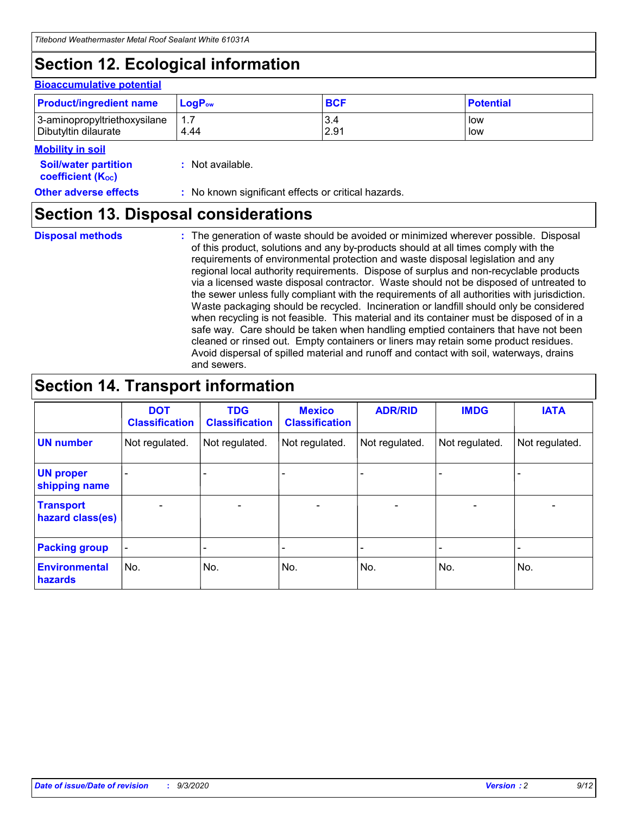# **Section 12. Ecological information**

#### **Bioaccumulative potential**

| <b>Product/ingredient name</b> | $LogPow$ | <b>BCF</b> | <b>Potential</b> |
|--------------------------------|----------|------------|------------------|
| 3-aminopropyltriethoxysilane   | 1.7      | 3.4        | low              |
| Dibutyltin dilaurate           | 4.44     | 2.91       | low              |

#### **Mobility in soil**

| <b>Soil/water partition</b>    | : Not available. |
|--------------------------------|------------------|
| coefficient (K <sub>oc</sub> ) |                  |

**Other adverse effects** : No known significant effects or critical hazards.

### **Section 13. Disposal considerations**

**Disposal methods :**

The generation of waste should be avoided or minimized wherever possible. Disposal of this product, solutions and any by-products should at all times comply with the requirements of environmental protection and waste disposal legislation and any regional local authority requirements. Dispose of surplus and non-recyclable products via a licensed waste disposal contractor. Waste should not be disposed of untreated to the sewer unless fully compliant with the requirements of all authorities with jurisdiction. Waste packaging should be recycled. Incineration or landfill should only be considered when recycling is not feasible. This material and its container must be disposed of in a safe way. Care should be taken when handling emptied containers that have not been cleaned or rinsed out. Empty containers or liners may retain some product residues. Avoid dispersal of spilled material and runoff and contact with soil, waterways, drains and sewers.

### **Section 14. Transport information**

|                                      | <b>DOT</b><br><b>Classification</b> | <b>TDG</b><br><b>Classification</b> | <b>Mexico</b><br><b>Classification</b> | <b>ADR/RID</b>               | <b>IMDG</b>              | <b>IATA</b>    |
|--------------------------------------|-------------------------------------|-------------------------------------|----------------------------------------|------------------------------|--------------------------|----------------|
| <b>UN number</b>                     | Not regulated.                      | Not regulated.                      | Not regulated.                         | Not regulated.               | Not regulated.           | Not regulated. |
| <b>UN proper</b><br>shipping name    |                                     |                                     |                                        |                              |                          |                |
| <b>Transport</b><br>hazard class(es) | $\overline{\phantom{m}}$            | $\overline{\phantom{0}}$            | $\qquad \qquad$                        | $\qquad \qquad \blacksquare$ | $\overline{\phantom{a}}$ |                |
| <b>Packing group</b>                 | $\qquad \qquad \blacksquare$        |                                     |                                        |                              |                          |                |
| <b>Environmental</b><br>hazards      | No.                                 | No.                                 | No.                                    | No.                          | No.                      | No.            |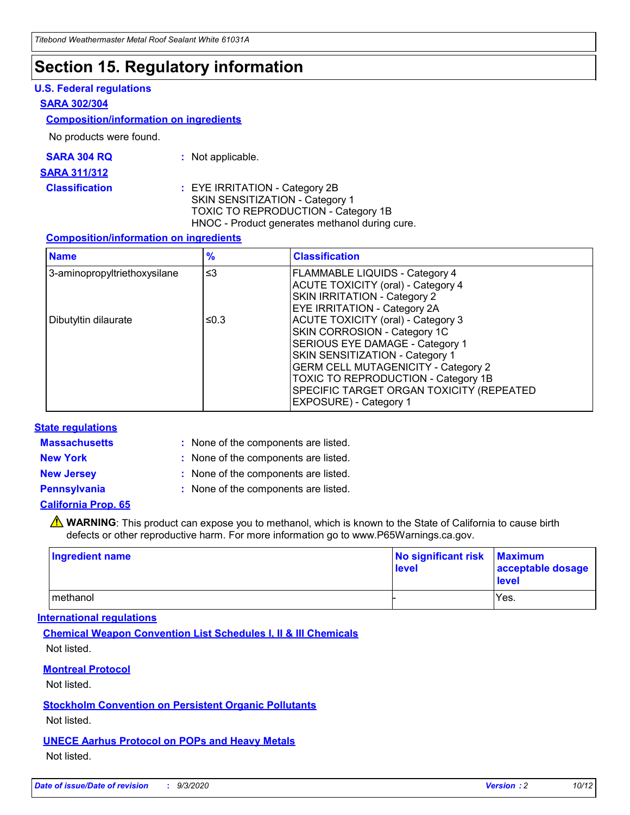### **Section 15. Regulatory information**

#### **U.S. Federal regulations**

#### **SARA 302/304**

#### **Composition/information on ingredients**

No products were found.

| SARA 304 RQ | Not applicable. |
|-------------|-----------------|
|-------------|-----------------|

#### **SARA 311/312**

**Classification :** EYE IRRITATION - Category 2B SKIN SENSITIZATION - Category 1 TOXIC TO REPRODUCTION - Category 1B HNOC - Product generates methanol during cure.

#### **Composition/information on ingredients**

| <b>Name</b>                  | $\frac{9}{6}$ | <b>Classification</b>                                                                                                                                                                                                                                                                                      |
|------------------------------|---------------|------------------------------------------------------------------------------------------------------------------------------------------------------------------------------------------------------------------------------------------------------------------------------------------------------------|
| 3-aminopropyltriethoxysilane | $\leq$ 3      | <b>FLAMMABLE LIQUIDS - Category 4</b><br><b>ACUTE TOXICITY (oral) - Category 4</b><br><b>SKIN IRRITATION - Category 2</b><br>EYE IRRITATION - Category 2A                                                                                                                                                  |
| Dibutyltin dilaurate         | ≤0.3          | <b>ACUTE TOXICITY (oral) - Category 3</b><br>SKIN CORROSION - Category 1C<br>SERIOUS EYE DAMAGE - Category 1<br>SKIN SENSITIZATION - Category 1<br><b>GERM CELL MUTAGENICITY - Category 2</b><br>TOXIC TO REPRODUCTION - Category 1B<br>SPECIFIC TARGET ORGAN TOXICITY (REPEATED<br>EXPOSURE) - Category 1 |

#### **State regulations**

**Massachusetts :**

: None of the components are listed.

**New York :** None of the components are listed. **New Jersey :** None of the components are listed.

**Pennsylvania :** None of the components are listed.

#### **California Prop. 65**

WARNING: This product can expose you to methanol, which is known to the State of California to cause birth defects or other reproductive harm. For more information go to www.P65Warnings.ca.gov.

| Ingredient name | No significant risk<br>level | <b>Maximum</b><br>acceptable dosage<br><b>level</b> |
|-----------------|------------------------------|-----------------------------------------------------|
| l methanol      |                              | Yes.                                                |

#### **International regulations**

**Chemical Weapon Convention List Schedules I, II & III Chemicals** Not listed.

#### **Montreal Protocol**

Not listed.

**Stockholm Convention on Persistent Organic Pollutants**

Not listed.

#### **UNECE Aarhus Protocol on POPs and Heavy Metals** Not listed.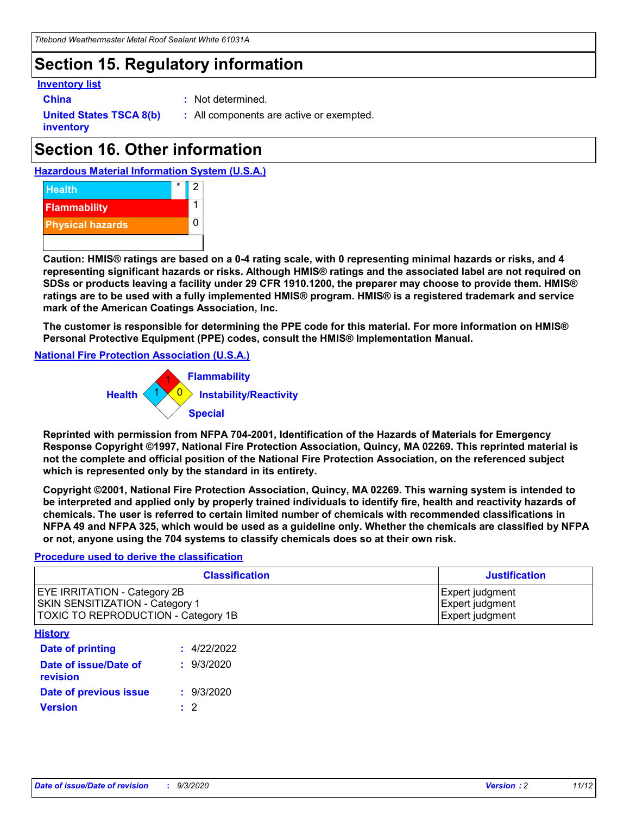### **Section 15. Regulatory information**

#### **Inventory list**

- 
- **China :** Not determined.

**United States TSCA 8(b) inventory**

**:** All components are active or exempted.

# **Section 16. Other information**

**Hazardous Material Information System (U.S.A.)**



**Caution: HMIS® ratings are based on a 0-4 rating scale, with 0 representing minimal hazards or risks, and 4 representing significant hazards or risks. Although HMIS® ratings and the associated label are not required on SDSs or products leaving a facility under 29 CFR 1910.1200, the preparer may choose to provide them. HMIS® ratings are to be used with a fully implemented HMIS® program. HMIS® is a registered trademark and service mark of the American Coatings Association, Inc.**

**The customer is responsible for determining the PPE code for this material. For more information on HMIS® Personal Protective Equipment (PPE) codes, consult the HMIS® Implementation Manual.**

**National Fire Protection Association (U.S.A.)**



**Reprinted with permission from NFPA 704-2001, Identification of the Hazards of Materials for Emergency Response Copyright ©1997, National Fire Protection Association, Quincy, MA 02269. This reprinted material is not the complete and official position of the National Fire Protection Association, on the referenced subject which is represented only by the standard in its entirety.**

**Copyright ©2001, National Fire Protection Association, Quincy, MA 02269. This warning system is intended to be interpreted and applied only by properly trained individuals to identify fire, health and reactivity hazards of chemicals. The user is referred to certain limited number of chemicals with recommended classifications in NFPA 49 and NFPA 325, which would be used as a guideline only. Whether the chemicals are classified by NFPA or not, anyone using the 704 systems to classify chemicals does so at their own risk.**

#### **Procedure used to derive the classification**

| <b>Classification</b>                                                                                         | <b>Justification</b>                                  |
|---------------------------------------------------------------------------------------------------------------|-------------------------------------------------------|
| <b>EYE IRRITATION - Category 2B</b><br>SKIN SENSITIZATION - Category 1<br>TOXIC TO REPRODUCTION - Category 1B | Expert judgment<br>Expert judgment<br>Expert judgment |
| <b>History</b>                                                                                                |                                                       |

| .                                 |             |
|-----------------------------------|-------------|
| <b>Date of printing</b>           | : 4/22/2022 |
| Date of issue/Date of<br>revision | : 9/3/2020  |
| Date of previous issue            | : 9/3/2020  |
| <b>Version</b>                    | $\cdot$ 2   |
|                                   |             |